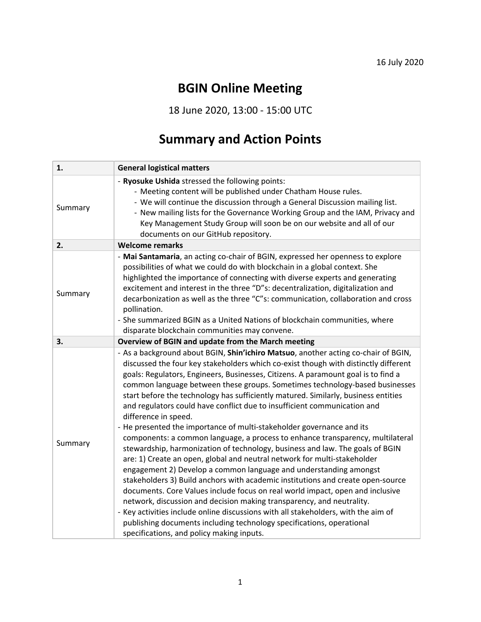## **BGIN Online Meeting**

18 June 2020, 13:00 - 15:00 UTC

## **Summary and Action Points**

| 1.      | <b>General logistical matters</b>                                                                                                                                                                                                                                                                                                                                                                                                                                                                                                                                                                                                                                                                                                                                                                                                                                                                                                                                                                                                                                                                                                                                                                                                                                                                                                                                                             |
|---------|-----------------------------------------------------------------------------------------------------------------------------------------------------------------------------------------------------------------------------------------------------------------------------------------------------------------------------------------------------------------------------------------------------------------------------------------------------------------------------------------------------------------------------------------------------------------------------------------------------------------------------------------------------------------------------------------------------------------------------------------------------------------------------------------------------------------------------------------------------------------------------------------------------------------------------------------------------------------------------------------------------------------------------------------------------------------------------------------------------------------------------------------------------------------------------------------------------------------------------------------------------------------------------------------------------------------------------------------------------------------------------------------------|
| Summary | - Ryosuke Ushida stressed the following points:<br>- Meeting content will be published under Chatham House rules.<br>- We will continue the discussion through a General Discussion mailing list.<br>- New mailing lists for the Governance Working Group and the IAM, Privacy and<br>Key Management Study Group will soon be on our website and all of our<br>documents on our GitHub repository.                                                                                                                                                                                                                                                                                                                                                                                                                                                                                                                                                                                                                                                                                                                                                                                                                                                                                                                                                                                            |
| 2.      | <b>Welcome remarks</b>                                                                                                                                                                                                                                                                                                                                                                                                                                                                                                                                                                                                                                                                                                                                                                                                                                                                                                                                                                                                                                                                                                                                                                                                                                                                                                                                                                        |
| Summary | - Mai Santamaria, an acting co-chair of BGIN, expressed her openness to explore<br>possibilities of what we could do with blockchain in a global context. She<br>highlighted the importance of connecting with diverse experts and generating<br>excitement and interest in the three "D"s: decentralization, digitalization and<br>decarbonization as well as the three "C"s: communication, collaboration and cross<br>pollination.<br>- She summarized BGIN as a United Nations of blockchain communities, where<br>disparate blockchain communities may convene.                                                                                                                                                                                                                                                                                                                                                                                                                                                                                                                                                                                                                                                                                                                                                                                                                          |
| 3.      | Overview of BGIN and update from the March meeting                                                                                                                                                                                                                                                                                                                                                                                                                                                                                                                                                                                                                                                                                                                                                                                                                                                                                                                                                                                                                                                                                                                                                                                                                                                                                                                                            |
| Summary | - As a background about BGIN, Shin'ichiro Matsuo, another acting co-chair of BGIN,<br>discussed the four key stakeholders which co-exist though with distinctly different<br>goals: Regulators, Engineers, Businesses, Citizens. A paramount goal is to find a<br>common language between these groups. Sometimes technology-based businesses<br>start before the technology has sufficiently matured. Similarly, business entities<br>and regulators could have conflict due to insufficient communication and<br>difference in speed.<br>- He presented the importance of multi-stakeholder governance and its<br>components: a common language, a process to enhance transparency, multilateral<br>stewardship, harmonization of technology, business and law. The goals of BGIN<br>are: 1) Create an open, global and neutral network for multi-stakeholder<br>engagement 2) Develop a common language and understanding amongst<br>stakeholders 3) Build anchors with academic institutions and create open-source<br>documents. Core Values include focus on real world impact, open and inclusive<br>network, discussion and decision making transparency, and neutrality.<br>- Key activities include online discussions with all stakeholders, with the aim of<br>publishing documents including technology specifications, operational<br>specifications, and policy making inputs. |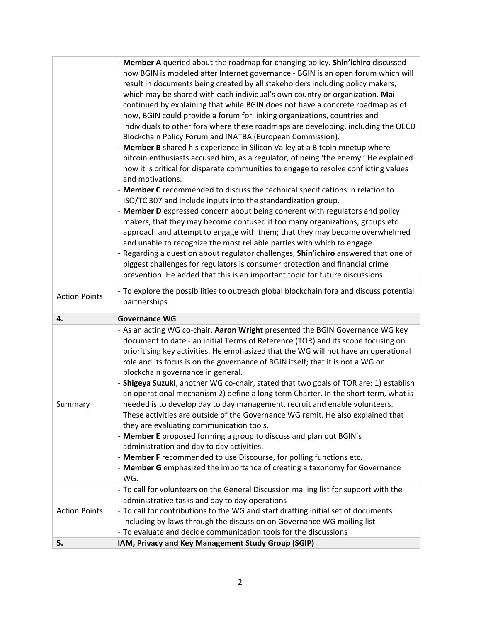| - To explore the possibilities to outreach global blockchain fora and discuss potential<br><b>Action Points</b><br>partnerships<br><b>Governance WG</b><br>4.<br>- As an acting WG co-chair, Aaron Wright presented the BGIN Governance WG key<br>document to date - an initial Terms of Reference (TOR) and its scope focusing on<br>prioritising key activities. He emphasized that the WG will not have an operational<br>role and its focus is on the governance of BGIN itself; that it is not a WG on<br>blockchain governance in general.<br>- Shigeya Suzuki, another WG co-chair, stated that two goals of TOR are: 1) establish<br>an operational mechanism 2) define a long term Charter. In the short term, what is<br>needed is to develop day to day management, recruit and enable volunteers.<br>Summary<br>These activities are outside of the Governance WG remit. He also explained that<br>they are evaluating communication tools.<br>- Member E proposed forming a group to discuss and plan out BGIN's<br>administration and day to day activities.<br>- Member F recommended to use Discourse, for polling functions etc.<br>- Member G emphasized the importance of creating a taxonomy for Governance<br>WG.<br>- To call for volunteers on the General Discussion mailing list for support with the<br>administrative tasks and day to day operations<br>- To call for contributions to the WG and start drafting initial set of documents<br><b>Action Points</b><br>including by-laws through the discussion on Governance WG mailing list<br>- To evaluate and decide communication tools for the discussions |    | - Member A queried about the roadmap for changing policy. Shin'ichiro discussed<br>how BGIN is modeled after Internet governance - BGIN is an open forum which will<br>result in documents being created by all stakeholders including policy makers,<br>which may be shared with each individual's own country or organization. Mai<br>continued by explaining that while BGIN does not have a concrete roadmap as of<br>now, BGIN could provide a forum for linking organizations, countries and<br>individuals to other fora where these roadmaps are developing, including the OECD<br>Blockchain Policy Forum and INATBA (European Commission).<br>- Member B shared his experience in Silicon Valley at a Bitcoin meetup where<br>bitcoin enthusiasts accused him, as a regulator, of being 'the enemy.' He explained<br>how it is critical for disparate communities to engage to resolve conflicting values<br>and motivations.<br>- Member C recommended to discuss the technical specifications in relation to<br>ISO/TC 307 and include inputs into the standardization group.<br>- Member D expressed concern about being coherent with regulators and policy<br>makers, that they may become confused if too many organizations, groups etc<br>approach and attempt to engage with them; that they may become overwhelmed<br>and unable to recognize the most reliable parties with which to engage.<br>- Regarding a question about regulator challenges, Shin'ichiro answered that one of<br>biggest challenges for regulators is consumer protection and financial crime<br>prevention. He added that this is an important topic for future discussions. |
|---------------------------------------------------------------------------------------------------------------------------------------------------------------------------------------------------------------------------------------------------------------------------------------------------------------------------------------------------------------------------------------------------------------------------------------------------------------------------------------------------------------------------------------------------------------------------------------------------------------------------------------------------------------------------------------------------------------------------------------------------------------------------------------------------------------------------------------------------------------------------------------------------------------------------------------------------------------------------------------------------------------------------------------------------------------------------------------------------------------------------------------------------------------------------------------------------------------------------------------------------------------------------------------------------------------------------------------------------------------------------------------------------------------------------------------------------------------------------------------------------------------------------------------------------------------------------------------------------------------------------------------------|----|--------------------------------------------------------------------------------------------------------------------------------------------------------------------------------------------------------------------------------------------------------------------------------------------------------------------------------------------------------------------------------------------------------------------------------------------------------------------------------------------------------------------------------------------------------------------------------------------------------------------------------------------------------------------------------------------------------------------------------------------------------------------------------------------------------------------------------------------------------------------------------------------------------------------------------------------------------------------------------------------------------------------------------------------------------------------------------------------------------------------------------------------------------------------------------------------------------------------------------------------------------------------------------------------------------------------------------------------------------------------------------------------------------------------------------------------------------------------------------------------------------------------------------------------------------------------------------------------------------------------------------------------------------------------------|
|                                                                                                                                                                                                                                                                                                                                                                                                                                                                                                                                                                                                                                                                                                                                                                                                                                                                                                                                                                                                                                                                                                                                                                                                                                                                                                                                                                                                                                                                                                                                                                                                                                             |    |                                                                                                                                                                                                                                                                                                                                                                                                                                                                                                                                                                                                                                                                                                                                                                                                                                                                                                                                                                                                                                                                                                                                                                                                                                                                                                                                                                                                                                                                                                                                                                                                                                                                          |
|                                                                                                                                                                                                                                                                                                                                                                                                                                                                                                                                                                                                                                                                                                                                                                                                                                                                                                                                                                                                                                                                                                                                                                                                                                                                                                                                                                                                                                                                                                                                                                                                                                             |    |                                                                                                                                                                                                                                                                                                                                                                                                                                                                                                                                                                                                                                                                                                                                                                                                                                                                                                                                                                                                                                                                                                                                                                                                                                                                                                                                                                                                                                                                                                                                                                                                                                                                          |
|                                                                                                                                                                                                                                                                                                                                                                                                                                                                                                                                                                                                                                                                                                                                                                                                                                                                                                                                                                                                                                                                                                                                                                                                                                                                                                                                                                                                                                                                                                                                                                                                                                             |    |                                                                                                                                                                                                                                                                                                                                                                                                                                                                                                                                                                                                                                                                                                                                                                                                                                                                                                                                                                                                                                                                                                                                                                                                                                                                                                                                                                                                                                                                                                                                                                                                                                                                          |
|                                                                                                                                                                                                                                                                                                                                                                                                                                                                                                                                                                                                                                                                                                                                                                                                                                                                                                                                                                                                                                                                                                                                                                                                                                                                                                                                                                                                                                                                                                                                                                                                                                             |    |                                                                                                                                                                                                                                                                                                                                                                                                                                                                                                                                                                                                                                                                                                                                                                                                                                                                                                                                                                                                                                                                                                                                                                                                                                                                                                                                                                                                                                                                                                                                                                                                                                                                          |
|                                                                                                                                                                                                                                                                                                                                                                                                                                                                                                                                                                                                                                                                                                                                                                                                                                                                                                                                                                                                                                                                                                                                                                                                                                                                                                                                                                                                                                                                                                                                                                                                                                             |    |                                                                                                                                                                                                                                                                                                                                                                                                                                                                                                                                                                                                                                                                                                                                                                                                                                                                                                                                                                                                                                                                                                                                                                                                                                                                                                                                                                                                                                                                                                                                                                                                                                                                          |
|                                                                                                                                                                                                                                                                                                                                                                                                                                                                                                                                                                                                                                                                                                                                                                                                                                                                                                                                                                                                                                                                                                                                                                                                                                                                                                                                                                                                                                                                                                                                                                                                                                             | 5. | IAM, Privacy and Key Management Study Group (SGIP)                                                                                                                                                                                                                                                                                                                                                                                                                                                                                                                                                                                                                                                                                                                                                                                                                                                                                                                                                                                                                                                                                                                                                                                                                                                                                                                                                                                                                                                                                                                                                                                                                       |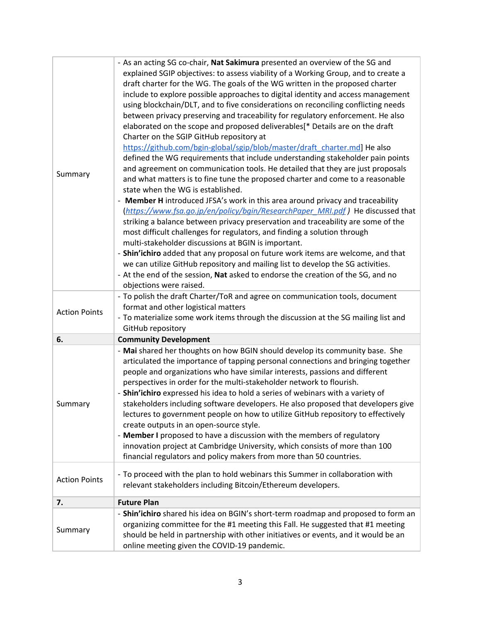| Summary              | - As an acting SG co-chair, Nat Sakimura presented an overview of the SG and<br>explained SGIP objectives: to assess viability of a Working Group, and to create a<br>draft charter for the WG. The goals of the WG written in the proposed charter<br>include to explore possible approaches to digital identity and access management<br>using blockchain/DLT, and to five considerations on reconciling conflicting needs<br>between privacy preserving and traceability for regulatory enforcement. He also<br>elaborated on the scope and proposed deliverables[* Details are on the draft<br>Charter on the SGIP GitHub repository at<br>https://github.com/bgin-global/sgip/blob/master/draft_charter.md] He also<br>defined the WG requirements that include understanding stakeholder pain points<br>and agreement on communication tools. He detailed that they are just proposals<br>and what matters is to fine tune the proposed charter and come to a reasonable<br>state when the WG is established.<br>- Member H introduced JFSA's work in this area around privacy and traceability<br>(https://www.fsa.go.jp/en/policy/bgin/ResearchPaper_MRI.pdf) He discussed that<br>striking a balance between privacy preservation and traceability are some of the<br>most difficult challenges for regulators, and finding a solution through<br>multi-stakeholder discussions at BGIN is important.<br>- Shin'ichiro added that any proposal on future work items are welcome, and that<br>we can utilize GitHub repository and mailing list to develop the SG activities.<br>- At the end of the session, Nat asked to endorse the creation of the SG, and no<br>objections were raised. |
|----------------------|------------------------------------------------------------------------------------------------------------------------------------------------------------------------------------------------------------------------------------------------------------------------------------------------------------------------------------------------------------------------------------------------------------------------------------------------------------------------------------------------------------------------------------------------------------------------------------------------------------------------------------------------------------------------------------------------------------------------------------------------------------------------------------------------------------------------------------------------------------------------------------------------------------------------------------------------------------------------------------------------------------------------------------------------------------------------------------------------------------------------------------------------------------------------------------------------------------------------------------------------------------------------------------------------------------------------------------------------------------------------------------------------------------------------------------------------------------------------------------------------------------------------------------------------------------------------------------------------------------------------------------------------------------------------------------------------------|
| <b>Action Points</b> | - To polish the draft Charter/ToR and agree on communication tools, document<br>format and other logistical matters<br>- To materialize some work items through the discussion at the SG mailing list and<br>GitHub repository                                                                                                                                                                                                                                                                                                                                                                                                                                                                                                                                                                                                                                                                                                                                                                                                                                                                                                                                                                                                                                                                                                                                                                                                                                                                                                                                                                                                                                                                       |
| 6.                   | <b>Community Development</b>                                                                                                                                                                                                                                                                                                                                                                                                                                                                                                                                                                                                                                                                                                                                                                                                                                                                                                                                                                                                                                                                                                                                                                                                                                                                                                                                                                                                                                                                                                                                                                                                                                                                         |
| Summary              | - Mai shared her thoughts on how BGIN should develop its community base. She<br>articulated the importance of tapping personal connections and bringing together<br>people and organizations who have similar interests, passions and different<br>perspectives in order for the multi-stakeholder network to flourish.<br>- Shin'ichiro expressed his idea to hold a series of webinars with a variety of<br>stakeholders including software developers. He also proposed that developers give<br>lectures to government people on how to utilize GitHub repository to effectively<br>create outputs in an open-source style.<br>- Member I proposed to have a discussion with the members of regulatory<br>innovation project at Cambridge University, which consists of more than 100<br>financial regulators and policy makers from more than 50 countries.                                                                                                                                                                                                                                                                                                                                                                                                                                                                                                                                                                                                                                                                                                                                                                                                                                      |
| <b>Action Points</b> | - To proceed with the plan to hold webinars this Summer in collaboration with<br>relevant stakeholders including Bitcoin/Ethereum developers.                                                                                                                                                                                                                                                                                                                                                                                                                                                                                                                                                                                                                                                                                                                                                                                                                                                                                                                                                                                                                                                                                                                                                                                                                                                                                                                                                                                                                                                                                                                                                        |
| 7.                   | <b>Future Plan</b>                                                                                                                                                                                                                                                                                                                                                                                                                                                                                                                                                                                                                                                                                                                                                                                                                                                                                                                                                                                                                                                                                                                                                                                                                                                                                                                                                                                                                                                                                                                                                                                                                                                                                   |
| Summary              | - Shin'ichiro shared his idea on BGIN's short-term roadmap and proposed to form an<br>organizing committee for the #1 meeting this Fall. He suggested that #1 meeting<br>should be held in partnership with other initiatives or events, and it would be an<br>online meeting given the COVID-19 pandemic.                                                                                                                                                                                                                                                                                                                                                                                                                                                                                                                                                                                                                                                                                                                                                                                                                                                                                                                                                                                                                                                                                                                                                                                                                                                                                                                                                                                           |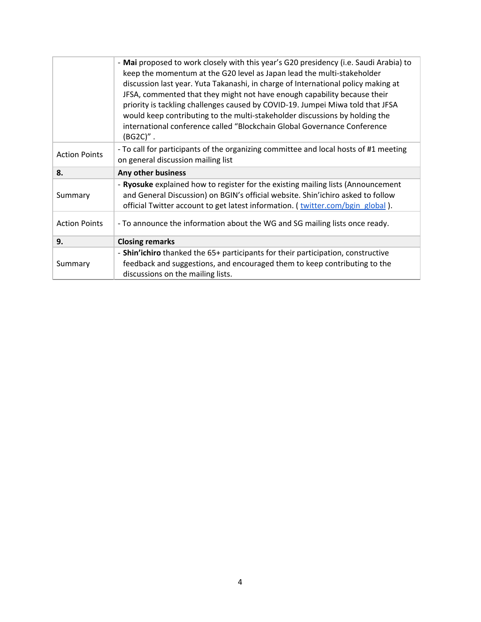|                      | - Mai proposed to work closely with this year's G20 presidency (i.e. Saudi Arabia) to<br>keep the momentum at the G20 level as Japan lead the multi-stakeholder<br>discussion last year. Yuta Takanashi, in charge of International policy making at<br>JFSA, commented that they might not have enough capability because their<br>priority is tackling challenges caused by COVID-19. Jumpei Miwa told that JFSA<br>would keep contributing to the multi-stakeholder discussions by holding the<br>international conference called "Blockchain Global Governance Conference<br>$(BG2C)''$ . |
|----------------------|-----------------------------------------------------------------------------------------------------------------------------------------------------------------------------------------------------------------------------------------------------------------------------------------------------------------------------------------------------------------------------------------------------------------------------------------------------------------------------------------------------------------------------------------------------------------------------------------------|
| <b>Action Points</b> | - To call for participants of the organizing committee and local hosts of #1 meeting<br>on general discussion mailing list                                                                                                                                                                                                                                                                                                                                                                                                                                                                    |
| 8.                   | Any other business                                                                                                                                                                                                                                                                                                                                                                                                                                                                                                                                                                            |
| Summary              | - Ryosuke explained how to register for the existing mailing lists (Announcement<br>and General Discussion) on BGIN's official website. Shin'ichiro asked to follow<br>official Twitter account to get latest information. (twitter.com/bgin global).                                                                                                                                                                                                                                                                                                                                         |
| <b>Action Points</b> | - To announce the information about the WG and SG mailing lists once ready.                                                                                                                                                                                                                                                                                                                                                                                                                                                                                                                   |
|                      |                                                                                                                                                                                                                                                                                                                                                                                                                                                                                                                                                                                               |
| 9.                   | <b>Closing remarks</b>                                                                                                                                                                                                                                                                                                                                                                                                                                                                                                                                                                        |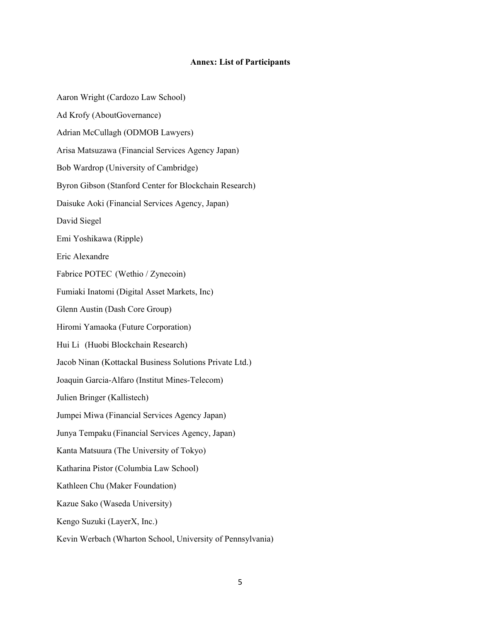## **Annex: List of Participants**

Aaron Wright (Cardozo Law School) Ad Krofy (AboutGovernance) Adrian McCullagh (ODMOB Lawyers) Arisa Matsuzawa (Financial Services Agency Japan) Bob Wardrop (University of Cambridge) Byron Gibson (Stanford Center for Blockchain Research) Daisuke Aoki (Financial Services Agency, Japan) David Siegel Emi Yoshikawa (Ripple) Eric Alexandre Fabrice POTEC (Wethio / Zynecoin) Fumiaki Inatomi (Digital Asset Markets, Inc) Glenn Austin (Dash Core Group) Hiromi Yamaoka (Future Corporation) Hui Li (Huobi Blockchain Research) Jacob Ninan (Kottackal Business Solutions Private Ltd.) Joaquin Garcia-Alfaro (Institut Mines-Telecom) Julien Bringer (Kallistech) Jumpei Miwa (Financial Services Agency Japan) Junya Tempaku (Financial Services Agency, Japan) Kanta Matsuura (The University of Tokyo) Katharina Pistor (Columbia Law School) Kathleen Chu (Maker Foundation) Kazue Sako (Waseda University) Kengo Suzuki (LayerX, Inc.) Kevin Werbach (Wharton School, University of Pennsylvania)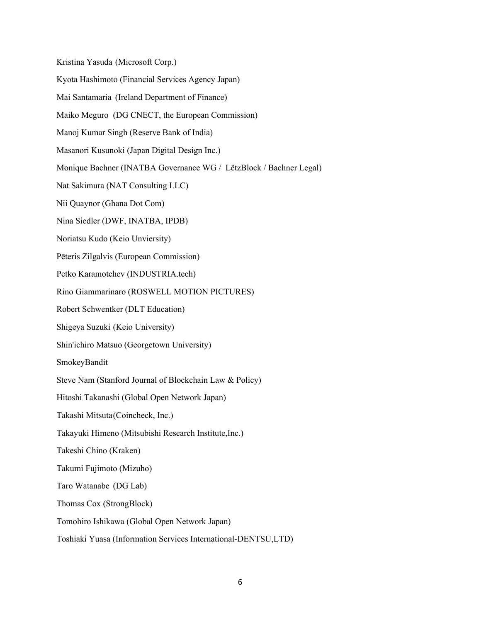Kristina Yasuda (Microsoft Corp.)

Kyota Hashimoto (Financial Services Agency Japan)

Mai Santamaria (Ireland Department of Finance)

Maiko Meguro (DG CNECT, the European Commission)

Manoj Kumar Singh (Reserve Bank of India)

Masanori Kusunoki (Japan Digital Design Inc.)

Monique Bachner (INATBA Governance WG / LëtzBlock / Bachner Legal)

Nat Sakimura (NAT Consulting LLC)

Nii Quaynor (Ghana Dot Com)

Nina Siedler (DWF, INATBA, IPDB)

Noriatsu Kudo (Keio Unviersity)

Pēteris Zilgalvis (European Commission)

Petko Karamotchev (INDUSTRIA.tech)

Rino Giammarinaro (ROSWELL MOTION PICTURES)

Robert Schwentker (DLT Education)

Shigeya Suzuki (Keio University)

Shin'ichiro Matsuo (Georgetown University)

SmokeyBandit

Steve Nam (Stanford Journal of Blockchain Law & Policy)

Hitoshi Takanashi (Global Open Network Japan)

Takashi Mitsuta(Coincheck, Inc.)

Takayuki Himeno (Mitsubishi Research Institute,Inc.)

Takeshi Chino (Kraken)

Takumi Fujimoto (Mizuho)

Taro Watanabe (DG Lab)

Thomas Cox (StrongBlock)

Tomohiro Ishikawa (Global Open Network Japan)

Toshiaki Yuasa (Information Services International-DENTSU,LTD)